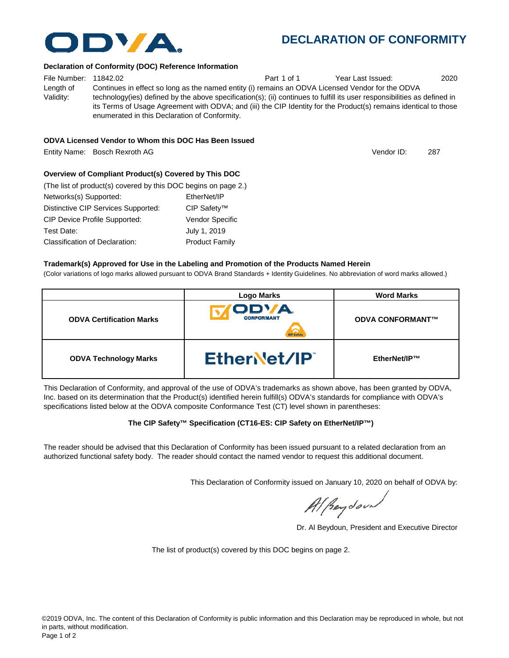# **DECLARATION OF CONFORMITY**

#### **Declaration of Conformity (DOC) Reference Information**

File Number: 11842.02 Part 1 of 1 Year Last Issued: 2020 Length of Validity: Continues in effect so long as the named entity (i) remains an ODVA Licensed Vendor for the ODVA technology(ies) defined by the above specification(s); (ii) continues to fulfill its user responsibilities as defined in its Terms of Usage Agreement with ODVA; and (iii) the CIP Identity for the Product(s) remains identical to those enumerated in this Declaration of Conformity.

### **ODVA Licensed Vendor to Whom this DOC Has Been Issued**

Entity Name: Bosch Rexroth AG 287

## **Overview of Compliant Product(s) Covered by This DOC**

| (The list of product(s) covered by this DOC begins on page 2.) |                        |
|----------------------------------------------------------------|------------------------|
| Networks(s) Supported:                                         | EtherNet/IP            |
| Distinctive CIP Services Supported:                            | CIP Safety™            |
| <b>CIP Device Profile Supported:</b>                           | <b>Vendor Specific</b> |
| Test Date:                                                     | July 1, 2019           |
| Classification of Declaration:                                 | <b>Product Family</b>  |

### **Trademark(s) Approved for Use in the Labeling and Promotion of the Products Named Herein**

(Color variations of logo marks allowed pursuant to ODVA Brand Standards + Identity Guidelines. No abbreviation of word marks allowed.)

|                                 | <b>Logo Marks</b>                        | <b>Word Marks</b>       |
|---------------------------------|------------------------------------------|-------------------------|
| <b>ODVA Certification Marks</b> | ODVA.<br><b>CONFORMANT</b><br><b>Red</b> | <b>ODVA CONFORMANT™</b> |
| <b>ODVA Technology Marks</b>    | EtherNet/IP                              | EtherNet/IP™            |

This Declaration of Conformity, and approval of the use of ODVA's trademarks as shown above, has been granted by ODVA, Inc. based on its determination that the Product(s) identified herein fulfill(s) ODVA's standards for compliance with ODVA's specifications listed below at the ODVA composite Conformance Test (CT) level shown in parentheses:

## **The CIP Safety™ Specification (CT16-ES: CIP Safety on EtherNet/IP™)**

The reader should be advised that this Declaration of Conformity has been issued pursuant to a related declaration from an authorized functional safety body. The reader should contact the named vendor to request this additional document.

This Declaration of Conformity issued on January 10, 2020 on behalf of ODVA by:

Al Beydoor

Dr. Al Beydoun, President and Executive Director

The list of product(s) covered by this DOC begins on page 2.



Vendor ID: